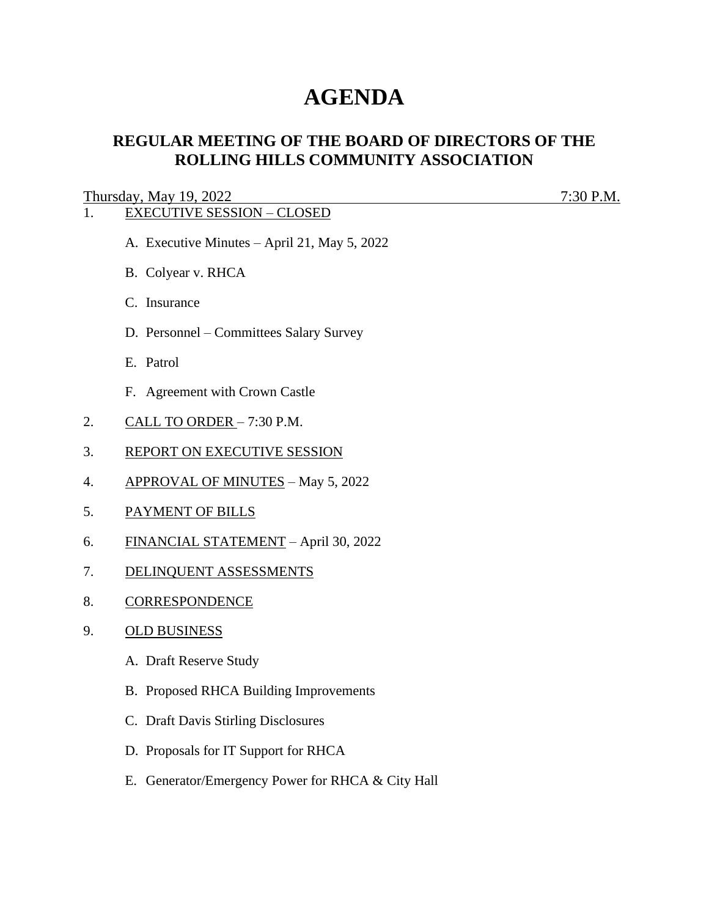# **AGENDA**

# **REGULAR MEETING OF THE BOARD OF DIRECTORS OF THE ROLLING HILLS COMMUNITY ASSOCIATION**

## Thursday, May 19, 2022 7:30 P.M.

# 1. EXECUTIVE SESSION – CLOSED

- A. Executive Minutes April 21, May 5, 2022
- B. Colyear v. RHCA
- C. Insurance
- D. Personnel Committees Salary Survey
- E. Patrol
- F. Agreement with Crown Castle
- 2. CALL TO ORDER 7:30 P.M.
- 3. REPORT ON EXECUTIVE SESSION
- 4. APPROVAL OF MINUTES May 5, 2022
- 5. PAYMENT OF BILLS
- 6. FINANCIAL STATEMENT April 30, 2022
- 7. DELINQUENT ASSESSMENTS
- 8. CORRESPONDENCE
- 9. OLD BUSINESS
	- A. Draft Reserve Study
	- B. Proposed RHCA Building Improvements
	- C. Draft Davis Stirling Disclosures
	- D. Proposals for IT Support for RHCA
	- E. Generator/Emergency Power for RHCA & City Hall